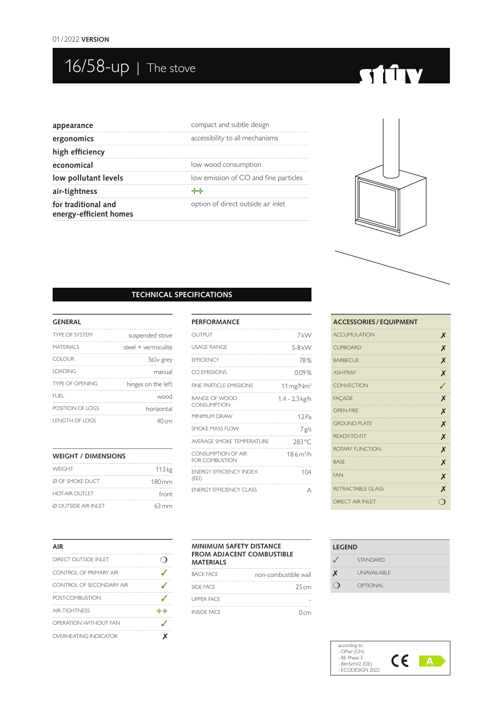## $\overline{16/58}$ -up | The stove

# **STORY**

| appearance                                    | compact and subtle design             |
|-----------------------------------------------|---------------------------------------|
| ergonomics                                    | accessibility to all mechanisms       |
| high efficiency                               |                                       |
| economical                                    | low wood consumption                  |
| low pollutant levels                          | low emission of CO and fine particles |
| air-tightness                                 | الماسات                               |
| for traditional and<br>energy-efficient homes | option of direct outside air inlet    |
|                                               |                                       |



#### **TECHNICAL SPECIFICATIONS**

#### **GENERAL**

| <b>TYPE OF SYSTEM</b>  | suspended stove     |
|------------------------|---------------------|
| MATERIAI S             | steel + vermiculite |
| <b>COLOUR</b>          | Stûv grey           |
| <b>LOADING</b>         | manual              |
| <b>TYPE OF OPENING</b> | hinges on the left  |
| FUEL.                  | wood                |
| POSITION OF LOGS       | horizontal          |
| <b>LENGTH OF LOGS</b>  | 40cm                |

| <b>WEIGHT / DIMENSIONS</b> |        |
|----------------------------|--------|
| WFIGHT                     | 113 kg |
| Ø OF SMOKE DUCT            | 180mm  |
| <b>HOT-AIR OUTLET</b>      | front  |
| <b>Ø OUTSIDE AIR INLET</b> | 63 mm  |

| <b>PERFORMANCE</b>                             |                                  |
|------------------------------------------------|----------------------------------|
| OUTPUT                                         | 7 kW                             |
| <b>USAGE RANGE</b>                             | 5-8 kW                           |
| <b>FFFICIENCY</b>                              | 78%                              |
| CO EMISSIONS                                   | $0.09\%$                         |
| FINE PARTICLE EMISSIONS                        | $11 \,\mathrm{mg}/\mathrm{Nm}^3$ |
| RANGE OF WOOD<br><b>CONSUMPTION</b>            | 1.4 - 2.3 kg/h                   |
| MINIMUM DRAW                                   | 12 <sub>Pa</sub>                 |
| SMOKE MASS FLOW                                | 7 g/s                            |
| AVERAGE SMOKE TEMPERATURE                      | 283 °C                           |
| CONSUMPTION OF AIR<br><b>FOR COMBUSTION</b>    | 18.6 m <sup>3</sup> /h           |
| <b><i>ENFRGY FFFICIENCY INDEX</i></b><br>(EEI) | 104                              |
| <b>ENFRGY FFFICIENCY CLASS</b>                 | А                                |

| <b>ACCESSORIES / EQUIPMENT</b> |                  |
|--------------------------------|------------------|
| <b>ACCUMULATION</b>            | X                |
| <b>CUPBOARD</b>                | X                |
| <b>BARBECUE</b>                | X                |
| <b>ASHTRAY</b>                 | X                |
| <b>CONVECTION</b>              | $\boldsymbol{I}$ |
| <b>FACADE</b>                  | X                |
| <b>OPEN FIRE</b>               | X                |
| <b>GROUND PLATE</b>            | X                |
| RFADY-TO-FIT                   | X                |
| ROTARY FUNCTION                | X                |
| <b>BASE</b>                    | X                |
| <b>FAN</b>                     | X                |
| <b>RETRACTABLE GLASS</b>       | X                |
| <b>DIRECT AIR INI FT</b>       | ⊖                |

| AIR                      |            |
|--------------------------|------------|
| DIRECT OUTSIDE INI FT    |            |
| CONTROL OF PRIMARY AIR   |            |
| CONTROL OF SECONDARY AIR |            |
| POST-COMBUSTION          |            |
| <b>AIR-TIGHTNESS</b>     | والمواليات |
| OPERATION WITHOUT FAN    |            |
| OVERHEATING INDICATOR    |            |

#### **MINIMUM SAFETY DISTANCE FROM ADJACENT COMBUSTIBLE MATERIALS**

| BACK FACE          | non-combustible wall |
|--------------------|----------------------|
| SIDE FACE          | 25cm                 |
| <b>UPPER FACE</b>  |                      |
| <b>INSIDE FACE</b> | 0cm                  |

| <b>LEGEND</b> |                 |
|---------------|-----------------|
|               | <b>STANDARD</b> |
|               | UNAVAII ABI F   |
|               | <b>OPTIONAL</b> |

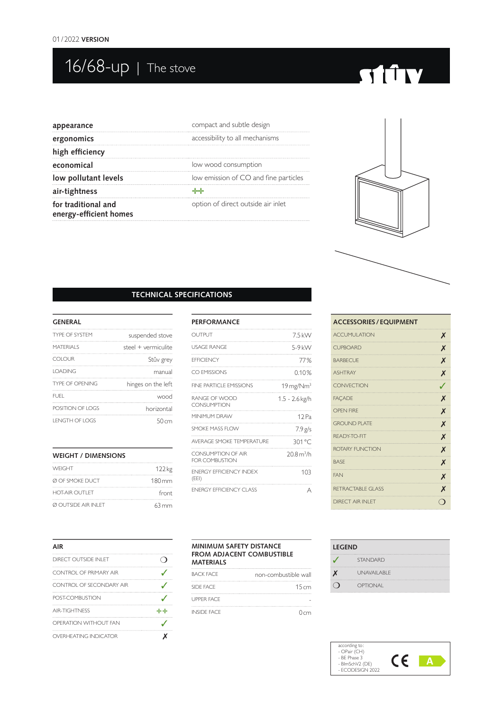## $\overline{16/68}$ -up  $\overline{1}$  The stove

# **STITY**

| appearance                                    | compact and subtle design             |
|-----------------------------------------------|---------------------------------------|
| ergonomics                                    | accessibility to all mechanisms       |
| high efficiency                               |                                       |
| economical                                    | low wood consumption                  |
| low pollutant levels                          | low emission of CO and fine particles |
| air-tightness                                 | references in the control.            |
| for traditional and<br>energy-efficient homes | option of direct outside air inlet    |
|                                               |                                       |



#### **TECHNICAL SPECIFICATIONS**

#### **GENERAL**

| suspended stove     | <b>TYPE OF SYSTEM</b>  |
|---------------------|------------------------|
| steel + vermiculite | MATERIAI S             |
| Stûv grey           | COLOUR                 |
| manual              | <b>IOADING</b>         |
| hinges on the left  | <b>TYPE OF OPENING</b> |
| wood                | FUFI.                  |
| horizontal          | POSITION OF LOGS       |
| 50 cm               | I ENGTH OF LOGS        |

#### **WEIGHT / DIMENSIONS**

| <b>WEIGHT</b>               | 122 <sub>kg</sub>   |
|-----------------------------|---------------------|
| Ø OF SMOKE DUCT             | $180 \,\mathrm{mm}$ |
| <b>HOT-AIR OUTLET</b>       | front               |
| <b>Ø OUTSIDE AIR INI FT</b> | $63 \,\mathrm{mm}$  |

| <b>PERFORMANCE</b>                          |                                  |
|---------------------------------------------|----------------------------------|
| OUTPUT                                      | 7.5 kW                           |
| <b>USAGE RANGE</b>                          | 5-9 kW                           |
| <b>FFFICIENCY</b>                           | 77%                              |
| CO EMISSIONS                                | 0.10%                            |
| FINE PARTICLE EMISSIONS                     | $19 \,\mathrm{mg}/\mathrm{Nm}^3$ |
| RANGE OF WOOD<br><b>CONSUMPTION</b>         | 1.5 - 2.6 kg/h                   |
| MINIMUM DRAW                                | 12 Pa                            |
| SMOKE MASS FLOW                             | $7.9$ g/s                        |
| AVERAGE SMOKE TEMPERATURE                   | 301 °C                           |
| CONSUMPTION OF AIR<br><b>FOR COMBUSTION</b> | 20.8 m <sup>3</sup> /h           |
| <b>ENFRGY FFFICIENCY INDEX</b><br>(EEI)     | 103                              |
| <b>ENFRGY FFFICIENCY CLASS</b>              | А                                |

| <b>ACCESSORIES / EQUIPMENT</b> |                    |
|--------------------------------|--------------------|
| <b>ACCUMULATION</b>            | X                  |
| <b>CUPBOARD</b>                | X                  |
| <b>BARBECUE</b>                | X                  |
| <b>ASHTRAY</b>                 | X                  |
| <b>CONVECTION</b>              | J                  |
| <b>FAÇADE</b>                  | X                  |
| <b>OPEN FIRE</b>               | X                  |
| <b>GROUND PLATE</b>            | X                  |
| READY-TO-FIT                   | X                  |
| ROTARY FUNCTION                | X                  |
| <b>BASE</b>                    | X                  |
| <b>FAN</b>                     | X                  |
| RETRACTABLE GLASS              | X                  |
| <b>DIRECT AIR INI FT</b>       | $\left( \ \right)$ |

| AIR                      |            |
|--------------------------|------------|
| DIRECT OUTSIDE INI FT    |            |
| CONTROL OF PRIMARY AIR   |            |
| CONTROL OF SECONDARY AIR |            |
| POST-COMBUSTION          |            |
| <b>AIR-TIGHTNESS</b>     | والمواليات |
| OPERATION WITHOUT FAN    |            |
| OVERHEATING INDICATOR    |            |

#### **MINIMUM SAFETY DISTANCE FROM ADJACENT COMBUSTIBLE MATERIALS**

| <b>BACK FACE</b>   | non-combustible wall |
|--------------------|----------------------|
| SIDE FACE          | 15cm                 |
| <b>LIPPER FACE</b> |                      |
| <b>INSIDE FACE</b> | 0cm                  |

| <b>LEGEND</b> |                    |
|---------------|--------------------|
|               | <b>STANDARD</b>    |
|               | <b>UNAVAILABLE</b> |
|               | OPTIONAL           |

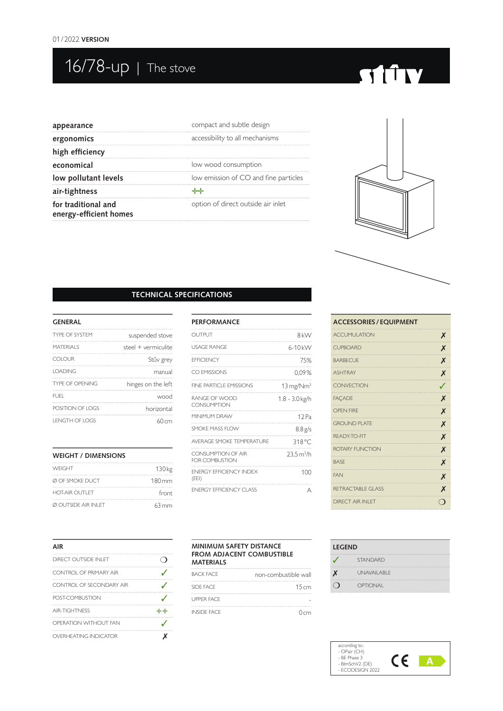## 16/78-up | The stove

# **STITY**

| appearance                                    | compact and subtle design             |
|-----------------------------------------------|---------------------------------------|
| ergonomics                                    | accessibility to all mechanisms       |
| high efficiency                               |                                       |
| economical                                    | low wood consumption                  |
| low pollutant levels                          | low emission of CO and fine particles |
| air-tightness                                 | ₩                                     |
| for traditional and<br>energy-efficient homes | option of direct outside air inlet    |
|                                               |                                       |



#### **TECHNICAL SPECIFICATIONS**

#### **GENERAL**

| suspended stove     | <b>TYPE OF SYSTEM</b>  |
|---------------------|------------------------|
| steel + vermiculite | MATERIAI S             |
| Stûv grey           | COLOUR                 |
| manual              | <b>IOADING</b>         |
| hinges on the left  | <b>TYPE OF OPENING</b> |
| wood                | FUFI.                  |
| horizontal          | POSITION OF LOGS       |
| 60 cm               | I ENGTH OF LOGS        |

#### **WEIGHT / DIMENSIONS**

| <b>WEIGHT</b>               | 130 <sub>kg</sub>   |
|-----------------------------|---------------------|
| Ø OF SMOKE DUCT             | $180 \,\mathrm{mm}$ |
| <b>HOT-AIR OUTLET</b>       | front               |
| <b>Ø OUTSIDE AIR INI FT</b> | $63 \,\mathrm{mm}$  |

| <b>PERFORMANCE</b>                          |                                  |
|---------------------------------------------|----------------------------------|
| OUTPUT                                      | 8 <sub>k</sub> w                 |
| <b>USAGE RANGE</b>                          | $6-10k$ W                        |
| <b>FFFICIENCY</b>                           | 75%                              |
| CO EMISSIONS                                | $0.09\%$                         |
| FINE PARTICLE EMISSIONS                     | $13 \,\mathrm{mg}/\mathrm{Nm}^3$ |
| RANGE OF WOOD<br><b>CONSUMPTION</b>         | 1.8 - 3.0 kg/h                   |
| <b>MINIMI IM DRAW</b>                       | 12 Pa                            |
| SMOKE MASS FLOW                             | $8.8$ g/s                        |
| AVERAGE SMOKE TEMPERATURE                   | 318 °C                           |
| CONSUMPTION OF AIR<br><b>FOR COMBUSTION</b> | 23.5 m <sup>3</sup> /h           |
| <b>ENFRGY FFFICIENCY INDEX</b><br>(EEI)     | 100                              |
| <b>ENFRGY FFFICIENCY CLASS</b>              | А                                |

| <b>ACCESSORIES / EQUIPMENT</b> |  |
|--------------------------------|--|
| <b>ACCUMULATION</b><br>X       |  |
| X<br><b>CUPBOARD</b>           |  |
| X<br><b>BARBECUE</b>           |  |
| X<br><b>ASHTRAY</b>            |  |
| <b>CONVECTION</b><br>J         |  |
| X<br><b>FAÇADE</b>             |  |
| <b>OPEN FIRE</b><br>X          |  |
| <b>GROUND PLATE</b><br>X       |  |
| X<br>RFADY-TO-FIT              |  |
| ROTARY FUNCTION<br>X           |  |
| X<br><b>BASE</b>               |  |
| <b>FAN</b><br>X                |  |
| X<br><b>RETRACTABLE GLASS</b>  |  |
| <b>DIRECT AIR INI FT</b><br>0  |  |

| AIR                      |    |
|--------------------------|----|
| DIRECT OUTSIDE INI ET    |    |
| CONTROL OF PRIMARY AIR   |    |
| CONTROL OF SECONDARY AIR |    |
| POST-COMBLISTION         |    |
| <b>AIR-TIGHTNESS</b>     | ∻≁ |
| OPERATION WITHOUT FAN    |    |
| OVERHEATING INDICATOR    |    |

#### **MINIMUM SAFETY DISTANCE FROM ADJACENT COMBUSTIBLE MATERIALS**

| BACK FACE          | non-combustible wall |
|--------------------|----------------------|
| SIDE FACE          | 15cm                 |
| <b>LIPPER FACE</b> |                      |
| <b>INSIDE FACE</b> | $0 \, \text{cm}$     |

| <b>LEGEND</b> |                 |
|---------------|-----------------|
|               | <b>STANDARD</b> |
|               | UNAVAII ABI F   |
|               | OPTIONAL        |

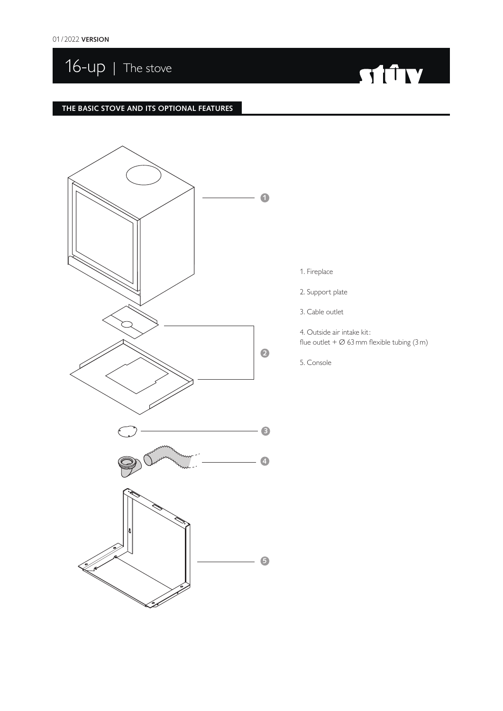16-up | The stove

# **Express State State State**

#### **THE BASIC STOVE AND ITS OPTIONAL FEATURES**



- 1. Fireplace
- 2. Support plate
- 3. Cable outlet

4. Outside air intake kit: flue outlet  $+$   $\varnothing$  63 mm flexible tubing (3 m)

5. Console